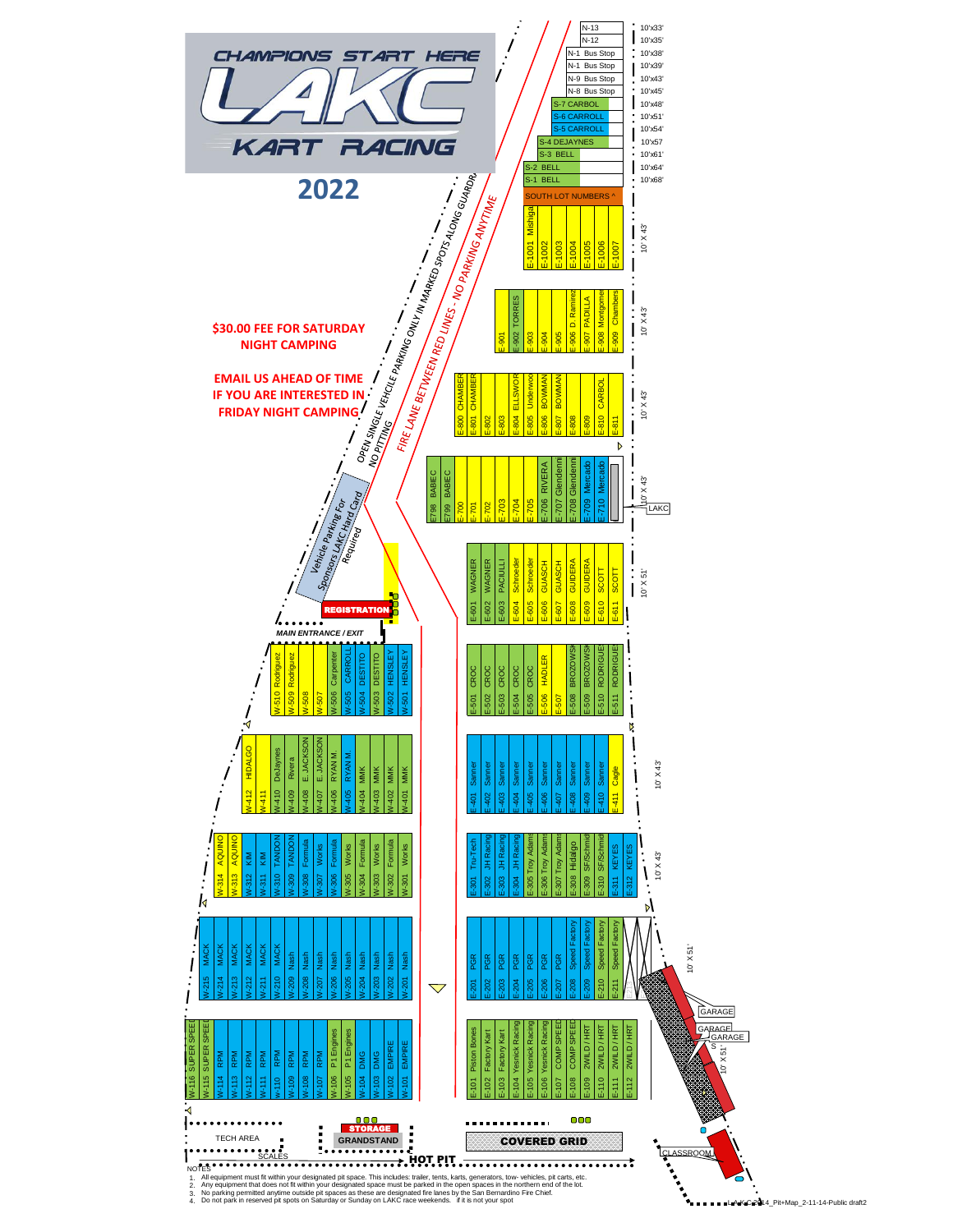